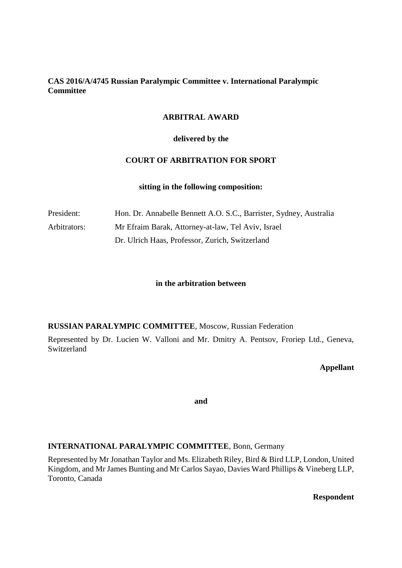## **CAS 2016/A/4745 Russian Paralympic Committee v. International Paralympic Committee**

# **ARBITRAL AWARD**

### **delivered by the**

# **COURT OF ARBITRATION FOR SPORT**

#### **sitting in the following composition:**

| President:   | Hon. Dr. Annabelle Bennett A.O. S.C., Barrister, Sydney, Australia |
|--------------|--------------------------------------------------------------------|
| Arbitrators: | Mr Efraim Barak, Attorney-at-law, Tel Aviv, Israel                 |
|              | Dr. Ulrich Haas, Professor, Zurich, Switzerland                    |

#### **in the arbitration between**

#### **RUSSIAN PARALYMPIC COMMITTEE**, Moscow, Russian Federation

Represented by Dr. Lucien W. Valloni and Mr. Dmitry A. Pentsov, Froriep Ltd., Geneva, Switzerland

### **Appellant**

**and**

#### **INTERNATIONAL PARALYMPIC COMMITTEE**, Bonn, Germany

Represented by Mr Jonathan Taylor and Ms. Elizabeth Riley, Bird & Bird LLP, London, United Kingdom, and Mr James Bunting and Mr Carlos Sayao, Davies Ward Phillips & Vineberg LLP, Toronto, Canada

**Respondent**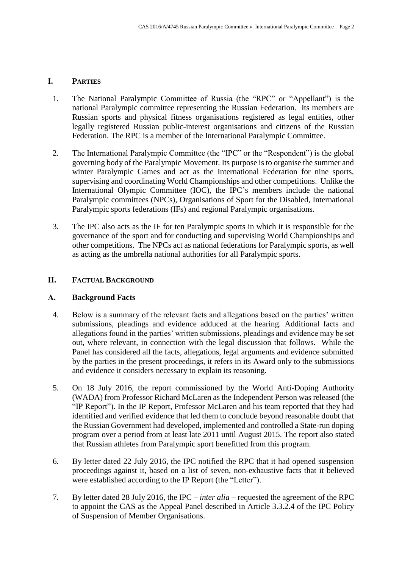# **I. PARTIES**

- 1. The National Paralympic Committee of Russia (the "RPC" or "Appellant") is the national Paralympic committee representing the Russian Federation. Its members are Russian sports and physical fitness organisations registered as legal entities, other legally registered Russian public-interest organisations and citizens of the Russian Federation. The RPC is a member of the International Paralympic Committee.
- 2. The International Paralympic Committee (the "IPC" or the "Respondent") is the global governing body of the Paralympic Movement. Its purpose is to organise the summer and winter Paralympic Games and act as the International Federation for nine sports, supervising and coordinating World Championships and other competitions. Unlike the International Olympic Committee (IOC), the IPC's members include the national Paralympic committees (NPCs), Organisations of Sport for the Disabled, International Paralympic sports federations (IFs) and regional Paralympic organisations.
- 3. The IPC also acts as the IF for ten Paralympic sports in which it is responsible for the governance of the sport and for conducting and supervising World Championships and other competitions. The NPCs act as national federations for Paralympic sports, as well as acting as the umbrella national authorities for all Paralympic sports.

## **II. FACTUAL BACKGROUND**

# **A. Background Facts**

- 4. Below is a summary of the relevant facts and allegations based on the parties' written submissions, pleadings and evidence adduced at the hearing. Additional facts and allegations found in the parties' written submissions, pleadings and evidence may be set out, where relevant, in connection with the legal discussion that follows. While the Panel has considered all the facts, allegations, legal arguments and evidence submitted by the parties in the present proceedings, it refers in its Award only to the submissions and evidence it considers necessary to explain its reasoning.
- 5. On 18 July 2016, the report commissioned by the World Anti-Doping Authority (WADA) from Professor Richard McLaren as the Independent Person was released (the "IP Report"). In the IP Report, Professor McLaren and his team reported that they had identified and verified evidence that led them to conclude beyond reasonable doubt that the Russian Government had developed, implemented and controlled a State-run doping program over a period from at least late 2011 until August 2015. The report also stated that Russian athletes from Paralympic sport benefitted from this program.
- 6. By letter dated 22 July 2016, the IPC notified the RPC that it had opened suspension proceedings against it, based on a list of seven, non-exhaustive facts that it believed were established according to the IP Report (the "Letter").
- 7. By letter dated 28 July 2016, the IPC *inter alia* requested the agreement of the RPC to appoint the CAS as the Appeal Panel described in Article 3.3.2.4 of the IPC Policy of Suspension of Member Organisations.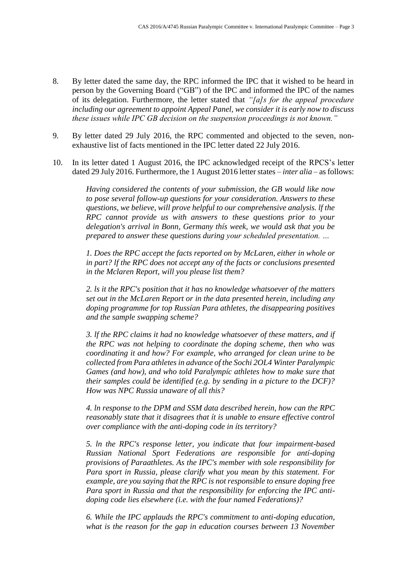- 8. By letter dated the same day, the RPC informed the IPC that it wished to be heard in person by the Governing Board ("GB") of the IPC and informed the IPC of the names of its delegation. Furthermore, the letter stated that *"[a]s for the appeal procedure including our agreement to appoint Appeal Panel, we consider it is early now to discuss these issues while IPC GB decision on the suspension proceedings is not known."*
- 9. By letter dated 29 July 2016, the RPC commented and objected to the seven, nonexhaustive list of facts mentioned in the IPC letter dated 22 July 2016.
- 10. In its letter dated 1 August 2016, the IPC acknowledged receipt of the RPCS's letter dated 29 July 2016. Furthermore, the 1 August 2016 letter states *– inter alia* – as follows:

*Having considered the contents of your submission, the GB would like now to pose several follow-up questions for your consideration. Answers to these questions, we believe, will prove helpful to our comprehensive analysis. lf the RPC cannot provide us with answers to these questions prior to your delegation's arrival in Bonn, Germany thís week, we would ask that you be prepared to answer these questions during your scheduled presentation. …* 

*1. Does the RPC accept the facts reported on by McLaren, either in whole or in part? lf the RPC does not accept any of the facts or conclusions presented in the Mclaren Report, will you please list them?*

*2. ls it the RPC's position that it has no knowledge whatsoever of the matters set out in the McLaren Report or in the data presented herein, including any doping programme for top Russían Para athletes, the disappearing positives and the sample swapping scheme?*

*3. lf the RPC claims it had no knowledge whatsoever of these matters, and if the RPC was not helping to coordinate the doping scheme, then who was coordinating it and how? For example, who arranged for clean urine to be collected from Para athletes in advance of the Sochi 2OL4 Winter Paralympic Games (and how), and who told Paralympíc athletes how to make sure that their samples could be identified (e.g. by sending in a picture to the DCF)? How was NPC Russia unaware of all this?*

*4. ln response to the DPM and SSM data described herein, how can the RPC reasonably state that it disagrees that ít is unable to ensure effective control over compliance with the anti-doping code in íts territory?*

*5. ln the RPC's response letter, you indicate that four impairment-based Russian National Sport Federations are responsible for antí-doping provisions of Paraathletes. As the IPC's member with sole responsibility for Para sport in Russia, please clarify what you mean by this statement. For example, are you saying that the RPC is not responsible to ensure doping free Para sport in Russia and that the responsibility for enforcing the IPC antidoping code lies elsewhere (i.e. with the four named Federations)?*

*6. While the IPC applauds the RPC's commitment to anti-doping education, what is the reason for the gap in education courses between 13 November*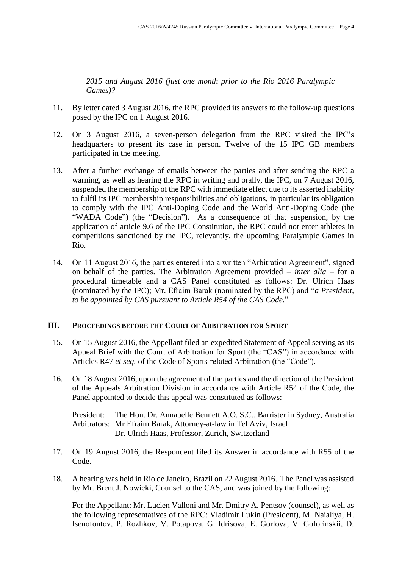*2015 and August 2016 (just one month prior to the Rio 2016 Paralympic Games)?*

- 11. By letter dated 3 August 2016, the RPC provided its answers to the follow-up questions posed by the IPC on 1 August 2016.
- 12. On 3 August 2016, a seven-person delegation from the RPC visited the IPC's headquarters to present its case in person. Twelve of the 15 IPC GB members participated in the meeting.
- 13. After a further exchange of emails between the parties and after sending the RPC a warning, as well as hearing the RPC in writing and orally, the IPC, on 7 August 2016, suspended the membership of the RPC with immediate effect due to its asserted inability to fulfil its IPC membership responsibilities and obligations, in particular its obligation to comply with the IPC Anti-Doping Code and the World Anti-Doping Code (the "WADA Code") (the "Decision"). As a consequence of that suspension, by the application of article 9.6 of the IPC Constitution, the RPC could not enter athletes in competitions sanctioned by the IPC, relevantly, the upcoming Paralympic Games in Rio.
- 14. On 11 August 2016, the parties entered into a written "Arbitration Agreement", signed on behalf of the parties. The Arbitration Agreement provided – *inter alia* – for a procedural timetable and a CAS Panel constituted as follows: Dr. Ulrich Haas (nominated by the IPC); Mr. Efraim Barak (nominated by the RPC) and "*a President, to be appointed by CAS pursuant to Article R54 of the CAS Code*."

### **III. PROCEEDINGS BEFORE THE COURT OF ARBITRATION FOR SPORT**

- 15. On 15 August 2016, the Appellant filed an expedited Statement of Appeal serving as its Appeal Brief with the Court of Arbitration for Sport (the "CAS") in accordance with Articles R47 *et seq.* of the Code of Sports-related Arbitration (the "Code").
- 16. On 18 August 2016, upon the agreement of the parties and the direction of the President of the Appeals Arbitration Division in accordance with Article R54 of the Code, the Panel appointed to decide this appeal was constituted as follows:

President: The Hon. Dr. Annabelle Bennett A.O. S.C., Barrister in Sydney, Australia Arbitrators: Mr Efraim Barak, Attorney-at-law in Tel Aviv, Israel Dr. Ulrich Haas, Professor, Zurich, Switzerland

- 17. On 19 August 2016, the Respondent filed its Answer in accordance with R55 of the Code.
- 18. A hearing was held in Rio de Janeiro, Brazil on 22 August 2016. The Panel was assisted by Mr. Brent J. Nowicki, Counsel to the CAS, and was joined by the following:

For the Appellant: Mr. Lucien Valloni and Mr. Dmitry A. Pentsov (counsel), as well as the following representatives of the RPC: Vladimir Lukin (President), M. Naialiya, H. Isenofontov, P. Rozhkov, V. Potapova, G. Idrisova, E. Gorlova, V. Goforinskii, D.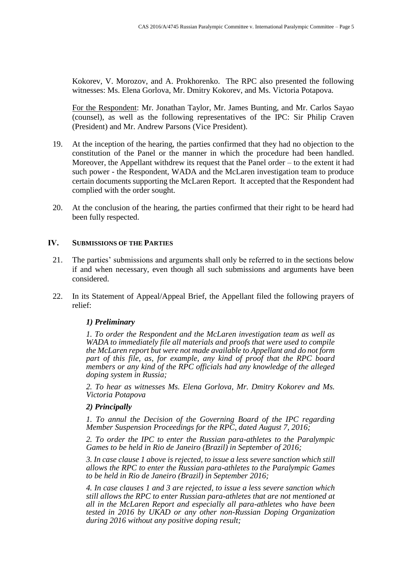Kokorev, V. Morozov, and A. Prokhorenko. The RPC also presented the following witnesses: Ms. Elena Gorlova, Mr. Dmitry Kokorev, and Ms. Victoria Potapova.

For the Respondent: Mr. Jonathan Taylor, Mr. James Bunting, and Mr. Carlos Sayao (counsel), as well as the following representatives of the IPC: Sir Philip Craven (President) and Mr. Andrew Parsons (Vice President).

- 19. At the inception of the hearing, the parties confirmed that they had no objection to the constitution of the Panel or the manner in which the procedure had been handled. Moreover, the Appellant withdrew its request that the Panel order – to the extent it had such power - the Respondent, WADA and the McLaren investigation team to produce certain documents supporting the McLaren Report. It accepted that the Respondent had complied with the order sought.
- 20. At the conclusion of the hearing, the parties confirmed that their right to be heard had been fully respected.

#### **IV. SUBMISSIONS OF THE PARTIES**

- 21. The parties' submissions and arguments shall only be referred to in the sections below if and when necessary, even though all such submissions and arguments have been considered.
- 22. In its Statement of Appeal/Appeal Brief, the Appellant filed the following prayers of relief:

#### *1) Preliminary*

*1. To order the Respondent and the McLaren investigation team as well as WADA to immediately file all materials and proofs that were used to compile the McLaren report but were not made available to Appellant and do not form part of this file, as, for example, any kind of proof that the RPC board members or any kind of the RPC officials had any knowledge of the alleged doping system in Russia;*

*2. To hear as witnesses Ms. Elena Gorlova, Mr. Dmitry Kokorev and Ms. Victoria Potapova*

#### *2) Principally*

*1. To annul the Decision of the Governing Board of the IPC regarding Member Suspension Proceedings for the RPC, dated August 7, 2016;*

*2. To order the IPC to enter the Russian para-athletes to the Paralympic Games to be held in Rio de Janeiro (Brazil) in September of 2016;*

*3. In case clause 1 above is rejected, to issue a less severe sanction which still allows the RPC to enter the Russian para-athletes to the Paralympic Games to be held in Rio de Janeiro (Brazil) in September 2016;*

*4. In case clauses 1 and 3 are rejected, to issue a less severe sanction which still allows the RPC to enter Russian para-athletes that are not mentioned at all in the McLaren Report and especially all para-athletes who have been tested in 2016 by UKAD or any other non-Russian Doping Organization during 2016 without any positive doping result;*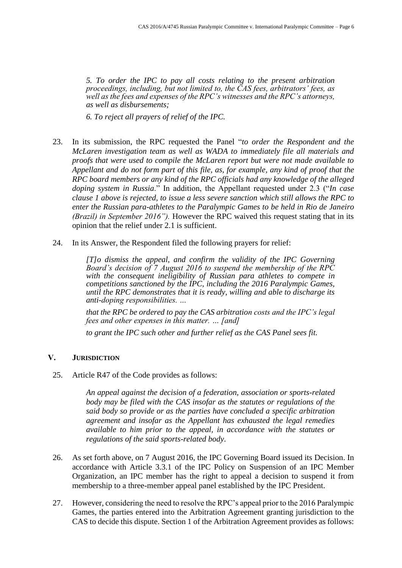*5. To order the IPC to pay all costs relating to the present arbitration proceedings, including, but not limited to, the CAS fees, arbitrators' fees, as well as the fees and expenses of the RPC's witnesses and the RPC's attorneys, as well as disbursements;*

*6. To reject all prayers of relief of the IPC.*

- 23. In its submission, the RPC requested the Panel "*to order the Respondent and the McLaren investigation team as well as WADA to immediately file all materials and proofs that were used to compile the McLaren report but were not made available to Appellant and do not form part of this file, as, for example, any kind of proof that the RPC board members or any kind of the RPC officials had any knowledge of the alleged doping system in Russia*." In addition, the Appellant requested under 2.3 ("*In case clause 1 above is rejected, to issue a less severe sanction which still allows the RPC to enter the Russian para-athletes to the Paralympic Games to be held in Rio de Janeiro (Brazil) in September 2016").* However the RPC waived this request stating that in its opinion that the relief under 2.1 is sufficient.
- 24. In its Answer, the Respondent filed the following prayers for relief:

*[T]o dismiss the appeal, and confirm the validity of the IPC Governing Board's decision of 7 August 2016 to suspend the membership of the RPC with the consequent ineligibility of Russian para athletes to compete in competitions sanctioned by the IPC, including the 2016 Paralympic Games, until the RPC demonstrates that it is ready, willing and able to discharge its anti-doping responsibilities. …*

*that the RPC be ordered to pay the CAS arbitration costs and the IPC's legal fees and other expenses in this matter. … [and]*

*to grant the IPC such other and further relief as the CAS Panel sees fit.*

### **V. JURISDICTION**

25. Article R47 of the Code provides as follows:

*An appeal against the decision of a federation, association or sports-related body may be filed with the CAS insofar as the statutes or regulations of the said body so provide or as the parties have concluded a specific arbitration agreement and insofar as the Appellant has exhausted the legal remedies available to him prior to the appeal, in accordance with the statutes or regulations of the said sports-related body*.

- 26. As set forth above, on 7 August 2016, the IPC Governing Board issued its Decision. In accordance with Article 3.3.1 of the IPC Policy on Suspension of an IPC Member Organization, an IPC member has the right to appeal a decision to suspend it from membership to a three-member appeal panel established by the IPC President.
- 27. However, considering the need to resolve the RPC's appeal prior to the 2016 Paralympic Games, the parties entered into the Arbitration Agreement granting jurisdiction to the CAS to decide this dispute. Section 1 of the Arbitration Agreement provides as follows: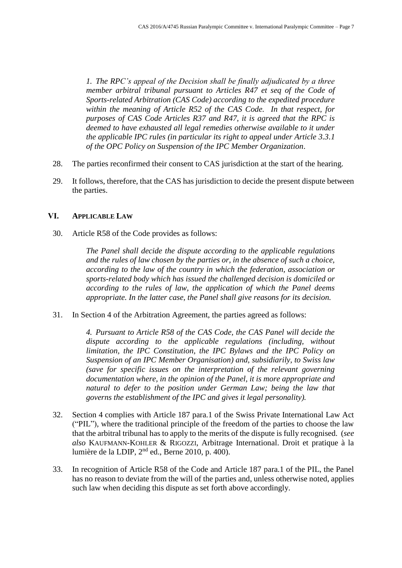*1. The RPC's appeal of the Decision shall be finally adjudicated by a three member arbitral tribunal pursuant to Articles R47 et seq of the Code of Sports-related Arbitration (CAS Code) according to the expedited procedure within the meaning of Article R52 of the CAS Code. In that respect, for purposes of CAS Code Articles R37 and R47, it is agreed that the RPC is deemed to have exhausted all legal remedies otherwise available to it under the applicable IPC rules (in particular its right to appeal under Article 3.3.1 of the OPC Policy on Suspension of the IPC Member Organization*.

- 28. The parties reconfirmed their consent to CAS jurisdiction at the start of the hearing.
- 29. It follows, therefore, that the CAS has jurisdiction to decide the present dispute between the parties.

#### **VI. APPLICABLE LAW**

30. Article R58 of the Code provides as follows:

*The Panel shall decide the dispute according to the applicable regulations and the rules of law chosen by the parties or, in the absence of such a choice, according to the law of the country in which the federation, association or sports-related body which has issued the challenged decision is domiciled or according to the rules of law, the application of which the Panel deems appropriate. In the latter case, the Panel shall give reasons for its decision.*

31. In Section 4 of the Arbitration Agreement, the parties agreed as follows:

*4. Pursuant to Article R58 of the CAS Code, the CAS Panel will decide the dispute according to the applicable regulations (including, without limitation, the IPC Constitution, the IPC Bylaws and the IPC Policy on Suspension of an IPC Member Organisation) and, subsidiarily, to Swiss law (save for specific issues on the interpretation of the relevant governing documentation where, in the opinion of the Panel, it is more appropriate and natural to defer to the position under German Law; being the law that governs the establishment of the IPC and gives it legal personality).* 

- 32. Section 4 complies with Article 187 para.1 of the Swiss Private International Law Act ("PIL"), where the traditional principle of the freedom of the parties to choose the law that the arbitral tribunal has to apply to the merits of the dispute is fully recognised. (*see also* KAUFMANN-KOHLER & RIGOZZI, Arbitrage International. Droit et pratique à la lumière de la LDIP, 2<sup>nd</sup> ed., Berne 2010, p. 400).
- 33. In recognition of Article R58 of the Code and Article 187 para.1 of the PIL, the Panel has no reason to deviate from the will of the parties and, unless otherwise noted, applies such law when deciding this dispute as set forth above accordingly.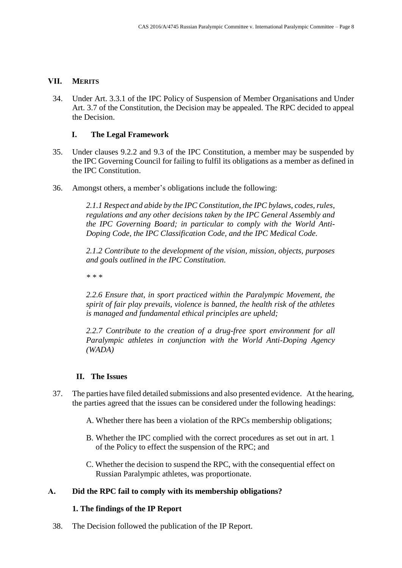### **VII. MERITS**

34. Under Art. 3.3.1 of the IPC Policy of Suspension of Member Organisations and Under Art. 3.7 of the Constitution, the Decision may be appealed. The RPC decided to appeal the Decision.

## **I. The Legal Framework**

- 35. Under clauses 9.2.2 and 9.3 of the IPC Constitution, a member may be suspended by the IPC Governing Council for failing to fulfil its obligations as a member as defined in the IPC Constitution.
- 36. Amongst others, a member's obligations include the following:

*2.1.1 Respect and abide by the IPC Constitution, the IPC bylaws, codes, rules, regulations and any other decisions taken by the IPC General Assembly and the IPC Governing Board; in particular to comply with the World Anti-Doping Code, the IPC Classification Code, and the IPC Medical Code.*

*2.1.2 Contribute to the development of the vision, mission, objects, purposes and goals outlined in the IPC Constitution.*

*\* \* \**

*2.2.6 Ensure that, in sport practiced within the Paralympic Movement, the spirit of fair play prevails, violence is banned, the health risk of the athletes is managed and fundamental ethical principles are upheld;* 

*2.2.7 Contribute to the creation of a drug-free sport environment for all Paralympic athletes in conjunction with the World Anti-Doping Agency (WADA)*

# **II. The Issues**

- 37. The parties have filed detailed submissions and also presented evidence. At the hearing, the parties agreed that the issues can be considered under the following headings:
	- A. Whether there has been a violation of the RPCs membership obligations;
	- B. Whether the IPC complied with the correct procedures as set out in art. 1 of the Policy to effect the suspension of the RPC; and
	- C. Whether the decision to suspend the RPC, with the consequential effect on Russian Paralympic athletes, was proportionate.

# **A. Did the RPC fail to comply with its membership obligations?**

### **1. The findings of the IP Report**

38. The Decision followed the publication of the IP Report.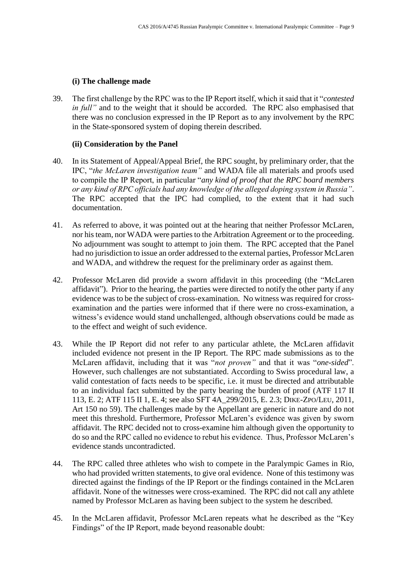### **(i) The challenge made**

39. The first challenge by the RPC was to the IP Report itself, which it said that it "*contested in full*" and to the weight that it should be accorded. The RPC also emphasised that there was no conclusion expressed in the IP Report as to any involvement by the RPC in the State-sponsored system of doping therein described.

### **(ii) Consideration by the Panel**

- 40. In its Statement of Appeal/Appeal Brief, the RPC sought, by preliminary order, that the IPC, "*the McLaren investigation team"* and WADA file all materials and proofs used to compile the IP Report, in particular "*any kind of proof that the RPC board members or any kind of RPC officials had any knowledge of the alleged doping system in Russia"*. The RPC accepted that the IPC had complied, to the extent that it had such documentation.
- 41. As referred to above, it was pointed out at the hearing that neither Professor McLaren, nor his team, nor WADA were parties to the Arbitration Agreement or to the proceeding. No adjournment was sought to attempt to join them. The RPC accepted that the Panel had no jurisdiction to issue an order addressed to the external parties, Professor McLaren and WADA, and withdrew the request for the preliminary order as against them.
- 42. Professor McLaren did provide a sworn affidavit in this proceeding (the "McLaren affidavit"). Prior to the hearing, the parties were directed to notify the other party if any evidence was to be the subject of cross-examination. No witness was required for crossexamination and the parties were informed that if there were no cross-examination, a witness's evidence would stand unchallenged, although observations could be made as to the effect and weight of such evidence.
- 43. While the IP Report did not refer to any particular athlete, the McLaren affidavit included evidence not present in the IP Report. The RPC made submissions as to the McLaren affidavit, including that it was "*not proven"* and that it was "*one-sided*". However, such challenges are not substantiated. According to Swiss procedural law, a valid contestation of facts needs to be specific, i.e. it must be directed and attributable to an individual fact submitted by the party bearing the burden of proof (ATF 117 II 113, E. 2; ATF 115 II 1, E. 4; see also SFT 4A\_299/2015, E. 2.3; DIKE-ZPO/LEU, 2011, Art 150 no 59). The challenges made by the Appellant are generic in nature and do not meet this threshold. Furthermore, Professor McLaren's evidence was given by sworn affidavit. The RPC decided not to cross-examine him although given the opportunity to do so and the RPC called no evidence to rebut his evidence. Thus, Professor McLaren's evidence stands uncontradicted.
- 44. The RPC called three athletes who wish to compete in the Paralympic Games in Rio, who had provided written statements, to give oral evidence. None of this testimony was directed against the findings of the IP Report or the findings contained in the McLaren affidavit. None of the witnesses were cross-examined. The RPC did not call any athlete named by Professor McLaren as having been subject to the system he described.
- 45. In the McLaren affidavit, Professor McLaren repeats what he described as the "Key Findings" of the IP Report, made beyond reasonable doubt: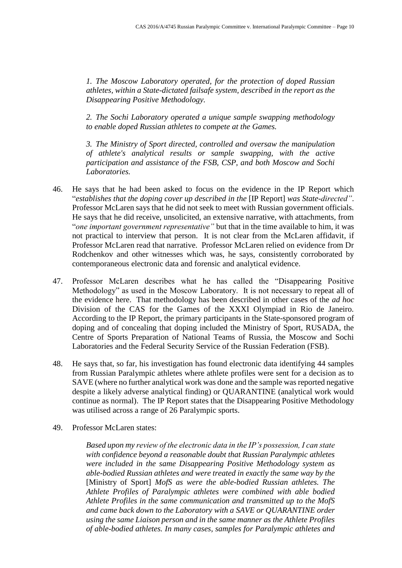*1. The Moscow Laboratory operated, for the protection of doped Russian athletes, within a State-dictated failsafe system, described in the report as the Disappearing Positive Methodology.*

*2. The Sochi Laboratory operated a unique sample swapping methodology to enable doped Russian athletes to compete at the Games.*

*3. The Ministry of Sport directed, controlled and oversaw the manipulation of athlete's analytical results or sample swapping, with the active participation and assistance of the FSB, CSP, and both Moscow and Sochi Laboratories.*

- 46. He says that he had been asked to focus on the evidence in the IP Report which "*establishes that the doping cover up described in the* [IP Report] *was State-directed"*. Professor McLaren says that he did not seek to meet with Russian government officials. He says that he did receive, unsolicited, an extensive narrative, with attachments, from "*one important government representative"* but that in the time available to him, it was not practical to interview that person. It is not clear from the McLaren affidavit, if Professor McLaren read that narrative. Professor McLaren relied on evidence from Dr Rodchenkov and other witnesses which was, he says, consistently corroborated by contemporaneous electronic data and forensic and analytical evidence.
- 47. Professor McLaren describes what he has called the "Disappearing Positive Methodology" as used in the Moscow Laboratory. It is not necessary to repeat all of the evidence here. That methodology has been described in other cases of the *ad hoc* Division of the CAS for the Games of the XXXI Olympiad in Rio de Janeiro. According to the IP Report, the primary participants in the State-sponsored program of doping and of concealing that doping included the Ministry of Sport, RUSADA, the Centre of Sports Preparation of National Teams of Russia, the Moscow and Sochi Laboratories and the Federal Security Service of the Russian Federation (FSB).
- 48. He says that, so far, his investigation has found electronic data identifying 44 samples from Russian Paralympic athletes where athlete profiles were sent for a decision as to SAVE (where no further analytical work was done and the sample was reported negative despite a likely adverse analytical finding) or QUARANTINE (analytical work would continue as normal). The IP Report states that the Disappearing Positive Methodology was utilised across a range of 26 Paralympic sports.
- 49. Professor McLaren states:

*Based upon my review of the electronic data in the IP's possession, I can state with confidence beyond a reasonable doubt that Russian Paralympic athletes were included in the same Disappearing Positive Methodology system as able-bodied Russian athletes and were treated in exactly the same way by the*  [Ministry of Sport] *MofS as were the able-bodied Russian athletes. The Athlete Profiles of Paralympic athletes were combined with able bodied Athlete Profiles in the same communication and transmitted up to the MofS and came back down to the Laboratory with a SAVE or QUARANTINE order using the same Liaison person and in the same manner as the Athlete Profiles of able-bodied athletes. In many cases, samples for Paralympic athletes and*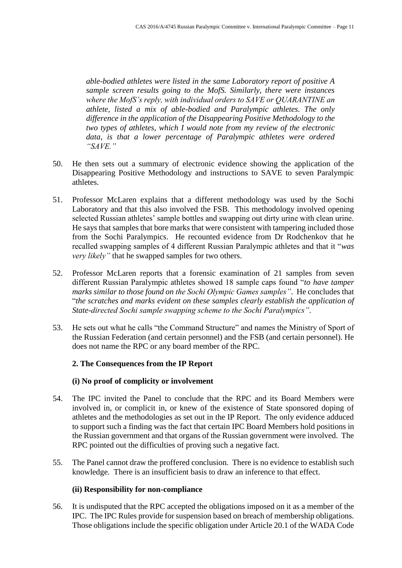*able-bodied athletes were listed in the same Laboratory report of positive A sample screen results going to the MofS. Similarly, there were instances where the MofS's reply, with individual orders to SAVE or QUARANTINE an athlete, listed a mix of able-bodied and Paralympic athletes. The only difference in the application of the Disappearing Positive Methodology to the two types of athletes, which I would note from my review of the electronic data, is that a lower percentage of Paralympic athletes were ordered "SAVE."*

- 50. He then sets out a summary of electronic evidence showing the application of the Disappearing Positive Methodology and instructions to SAVE to seven Paralympic athletes.
- 51. Professor McLaren explains that a different methodology was used by the Sochi Laboratory and that this also involved the FSB. This methodology involved opening selected Russian athletes' sample bottles and swapping out dirty urine with clean urine. He says that samples that bore marks that were consistent with tampering included those from the Sochi Paralympics. He recounted evidence from Dr Rodchenkov that he recalled swapping samples of 4 different Russian Paralympic athletes and that it "*was very likely"* that he swapped samples for two others.
- 52. Professor McLaren reports that a forensic examination of 21 samples from seven different Russian Paralympic athletes showed 18 sample caps found "*to have tamper marks similar to those found on the Sochi Olympic Games samples"*. He concludes that "*the scratches and marks evident on these samples clearly establish the application of State-directed Sochi sample swapping scheme to the Sochi Paralympics"*.
- 53. He sets out what he calls "the Command Structure" and names the Ministry of Sport of the Russian Federation (and certain personnel) and the FSB (and certain personnel). He does not name the RPC or any board member of the RPC.

# **2. The Consequences from the IP Report**

### **(i) No proof of complicity or involvement**

- 54. The IPC invited the Panel to conclude that the RPC and its Board Members were involved in, or complicit in, or knew of the existence of State sponsored doping of athletes and the methodologies as set out in the IP Report. The only evidence adduced to support such a finding was the fact that certain IPC Board Members hold positions in the Russian government and that organs of the Russian government were involved. The RPC pointed out the difficulties of proving such a negative fact.
- 55. The Panel cannot draw the proffered conclusion. There is no evidence to establish such knowledge. There is an insufficient basis to draw an inference to that effect.

## **(ii) Responsibility for non-compliance**

56. It is undisputed that the RPC accepted the obligations imposed on it as a member of the IPC. The IPC Rules provide for suspension based on breach of membership obligations. Those obligations include the specific obligation under Article 20.1 of the WADA Code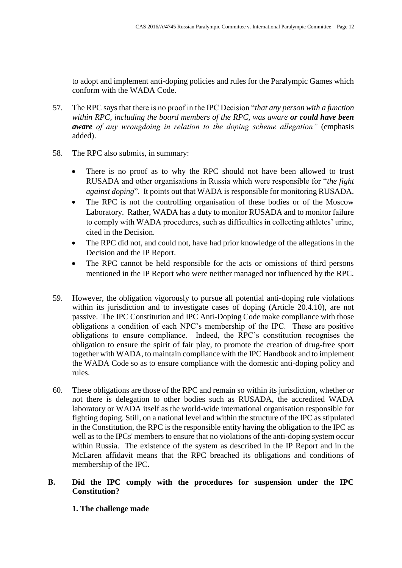to adopt and implement anti-doping policies and rules for the Paralympic Games which conform with the WADA Code.

- 57. The RPC says that there is no proof in the IPC Decision "*that any person with a function within RPC, including the board members of the RPC, was aware or could have been aware of any wrongdoing in relation to the doping scheme allegation"* (emphasis added).
- 58. The RPC also submits, in summary:
	- There is no proof as to why the RPC should not have been allowed to trust RUSADA and other organisations in Russia which were responsible for "*the fight against doping*". It points out that WADA is responsible for monitoring RUSADA.
	- The RPC is not the controlling organisation of these bodies or of the Moscow Laboratory. Rather, WADA has a duty to monitor RUSADA and to monitor failure to comply with WADA procedures, such as difficulties in collecting athletes' urine, cited in the Decision.
	- The RPC did not, and could not, have had prior knowledge of the allegations in the Decision and the IP Report.
	- The RPC cannot be held responsible for the acts or omissions of third persons mentioned in the IP Report who were neither managed nor influenced by the RPC.
- 59. However, the obligation vigorously to pursue all potential anti-doping rule violations within its jurisdiction and to investigate cases of doping (Article 20.4.10), are not passive. The IPC Constitution and IPC Anti-Doping Code make compliance with those obligations a condition of each NPC's membership of the IPC. These are positive obligations to ensure compliance. Indeed, the RPC's constitution recognises the obligation to ensure the spirit of fair play, to promote the creation of drug-free sport together with WADA, to maintain compliance with the IPC Handbook and to implement the WADA Code so as to ensure compliance with the domestic anti-doping policy and rules.
- 60. These obligations are those of the RPC and remain so within its jurisdiction, whether or not there is delegation to other bodies such as RUSADA, the accredited WADA laboratory or WADA itself as the world-wide international organisation responsible for fighting doping. Still, on a national level and within the structure of the IPC as stipulated in the Constitution, the RPC is the responsible entity having the obligation to the IPC as well as to the IPCs' members to ensure that no violations of the anti-doping system occur within Russia. The existence of the system as described in the IP Report and in the McLaren affidavit means that the RPC breached its obligations and conditions of membership of the IPC.

# **B. Did the IPC comply with the procedures for suspension under the IPC Constitution?**

**1. The challenge made**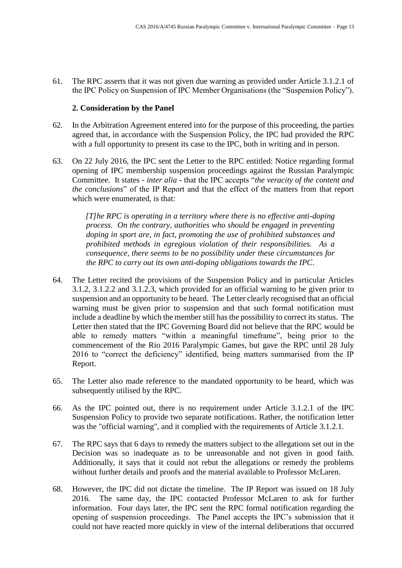61. The RPC asserts that it was not given due warning as provided under Article 3.1.2.1 of the IPC Policy on Suspension of IPC Member Organisations (the "Suspension Policy").

### **2. Consideration by the Panel**

- 62. In the Arbitration Agreement entered into for the purpose of this proceeding, the parties agreed that, in accordance with the Suspension Policy, the IPC had provided the RPC with a full opportunity to present its case to the IPC, both in writing and in person.
- 63. On 22 July 2016, the IPC sent the Letter to the RPC entitled: Notice regarding formal opening of IPC membership suspension proceedings against the Russian Paralympic Committee. It states - *inter alia* - that the IPC accepts "*the veracity of the content and the conclusions*" of the IP Report and that the effect of the matters from that report which were enumerated, is that:

*[T]he RPC is operating in a territory where there is no effective anti-doping process. On the contrary, authorities who should be engaged in preventing doping in sport are, in fact, promoting the use of prohibited substances and prohibited methods in egregious violation of their responsibilities. As a consequence, there seems to be no possibility under these circumstances for the RPC to carry out its own anti-doping obligations towards the IPC*.

- 64. The Letter recited the provisions of the Suspension Policy and in particular Articles 3.1.2, 3.1.2.2 and 3.1.2.3, which provided for an official warning to be given prior to suspension and an opportunity to be heard. The Letter clearly recognised that an official warning must be given prior to suspension and that such formal notification must include a deadline by which the member still has the possibility to correct its status. The Letter then stated that the IPC Governing Board did not believe that the RPC would be able to remedy matters "within a meaningful timeframe", being prior to the commencement of the Rio 2016 Paralympic Games, but gave the RPC until 28 July 2016 to "correct the deficiency" identified, being matters summarised from the IP Report.
- 65. The Letter also made reference to the mandated opportunity to be heard, which was subsequently utilised by the RPC.
- 66. As the IPC pointed out, there is no requirement under Article 3.1.2.1 of the IPC Suspension Policy to provide two separate notifications. Rather, the notification letter was the "official warning", and it complied with the requirements of Article 3.1.2.1.
- 67. The RPC says that 6 days to remedy the matters subject to the allegations set out in the Decision was so inadequate as to be unreasonable and not given in good faith. Additionally, it says that it could not rebut the allegations or remedy the problems without further details and proofs and the material available to Professor McLaren.
- 68. However, the IPC did not dictate the timeline. The IP Report was issued on 18 July 2016. The same day, the IPC contacted Professor McLaren to ask for further information. Four days later, the IPC sent the RPC formal notification regarding the opening of suspension proceedings. The Panel accepts the IPC's submission that it could not have reacted more quickly in view of the internal deliberations that occurred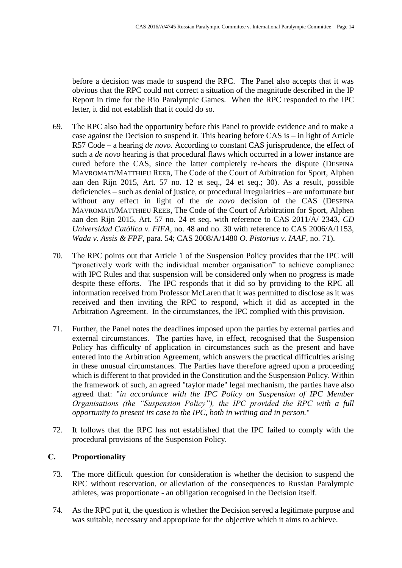before a decision was made to suspend the RPC. The Panel also accepts that it was obvious that the RPC could not correct a situation of the magnitude described in the IP Report in time for the Rio Paralympic Games. When the RPC responded to the IPC letter, it did not establish that it could do so.

- 69. The RPC also had the opportunity before this Panel to provide evidence and to make a case against the Decision to suspend it. This hearing before CAS is – in light of Article R57 Code – a hearing *de novo.* According to constant CAS jurisprudence, the effect of such a *de novo* hearing is that procedural flaws which occurred in a lower instance are cured before the CAS, since the latter completely re-hears the dispute (DESPINA MAVROMATI/MATTHIEU REEB, The Code of the Court of Arbitration for Sport, Alphen aan den Rijn 2015, Art. 57 no. 12 et seq., 24 et seq.; 30). As a result, possible deficiencies – such as denial of justice, or procedural irregularities – are unfortunate but without any effect in light of the *de novo* decision of the CAS (DESPINA MAVROMATI/MATTHIEU REEB, The Code of the Court of Arbitration for Sport, Alphen aan den Rijn 2015, Art. 57 no. 24 et seq. with reference to CAS 2011/A/ 2343, *CD Universidad Católica v. FIFA*, no. 48 and no. 30 with reference to CAS 2006/A/1153, *Wada v. Assis & FPF*, para. 54; CAS 2008/A/1480 *O. Pistorius v. IAAF*, no. 71).
- 70. The RPC points out that Article 1 of the Suspension Policy provides that the IPC will "proactively work with the individual member organisation" to achieve compliance with IPC Rules and that suspension will be considered only when no progress is made despite these efforts. The IPC responds that it did so by providing to the RPC all information received from Professor McLaren that it was permitted to disclose as it was received and then inviting the RPC to respond, which it did as accepted in the Arbitration Agreement. In the circumstances, the IPC complied with this provision.
- 71. Further, the Panel notes the deadlines imposed upon the parties by external parties and external circumstances. The parties have, in effect, recognised that the Suspension Policy has difficulty of application in circumstances such as the present and have entered into the Arbitration Agreement, which answers the practical difficulties arising in these unusual circumstances. The Parties have therefore agreed upon a proceeding which is different to that provided in the Constitution and the Suspension Policy. Within the framework of such, an agreed "taylor made" legal mechanism, the parties have also agreed that: "*in accordance with the IPC Policy on Suspension of IPC Member Organisations (the "Suspension Policy"), the IPC provided the RPC with a full opportunity to present its case to the IPC, both in writing and in person.*"
- 72. It follows that the RPC has not established that the IPC failed to comply with the procedural provisions of the Suspension Policy.

### **C. Proportionality**

- 73. The more difficult question for consideration is whether the decision to suspend the RPC without reservation, or alleviation of the consequences to Russian Paralympic athletes, was proportionate - an obligation recognised in the Decision itself.
- 74. As the RPC put it, the question is whether the Decision served a legitimate purpose and was suitable, necessary and appropriate for the objective which it aims to achieve.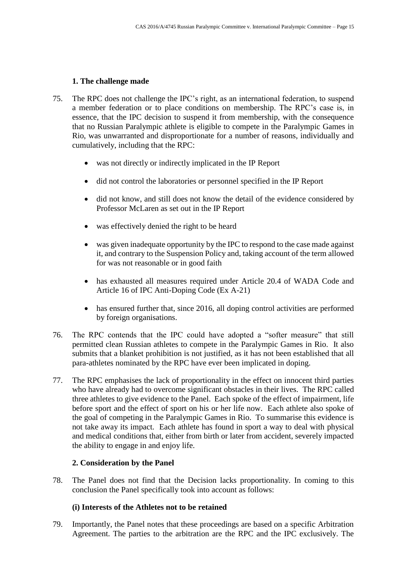### **1. The challenge made**

- 75. The RPC does not challenge the IPC's right, as an international federation, to suspend a member federation or to place conditions on membership. The RPC's case is, in essence, that the IPC decision to suspend it from membership, with the consequence that no Russian Paralympic athlete is eligible to compete in the Paralympic Games in Rio, was unwarranted and disproportionate for a number of reasons, individually and cumulatively, including that the RPC:
	- was not directly or indirectly implicated in the IP Report
	- did not control the laboratories or personnel specified in the IP Report
	- did not know, and still does not know the detail of the evidence considered by Professor McLaren as set out in the IP Report
	- was effectively denied the right to be heard
	- was given inadequate opportunity by the IPC to respond to the case made against it, and contrary to the Suspension Policy and, taking account of the term allowed for was not reasonable or in good faith
	- has exhausted all measures required under Article 20.4 of WADA Code and Article 16 of IPC Anti-Doping Code (Ex A-21)
	- has ensured further that, since 2016, all doping control activities are performed by foreign organisations.
- 76. The RPC contends that the IPC could have adopted a "softer measure" that still permitted clean Russian athletes to compete in the Paralympic Games in Rio. It also submits that a blanket prohibition is not justified, as it has not been established that all para-athletes nominated by the RPC have ever been implicated in doping.
- 77. The RPC emphasises the lack of proportionality in the effect on innocent third parties who have already had to overcome significant obstacles in their lives. The RPC called three athletes to give evidence to the Panel. Each spoke of the effect of impairment, life before sport and the effect of sport on his or her life now. Each athlete also spoke of the goal of competing in the Paralympic Games in Rio. To summarise this evidence is not take away its impact. Each athlete has found in sport a way to deal with physical and medical conditions that, either from birth or later from accident, severely impacted the ability to engage in and enjoy life.

### **2. Consideration by the Panel**

78. The Panel does not find that the Decision lacks proportionality. In coming to this conclusion the Panel specifically took into account as follows:

### **(i) Interests of the Athletes not to be retained**

79. Importantly, the Panel notes that these proceedings are based on a specific Arbitration Agreement. The parties to the arbitration are the RPC and the IPC exclusively. The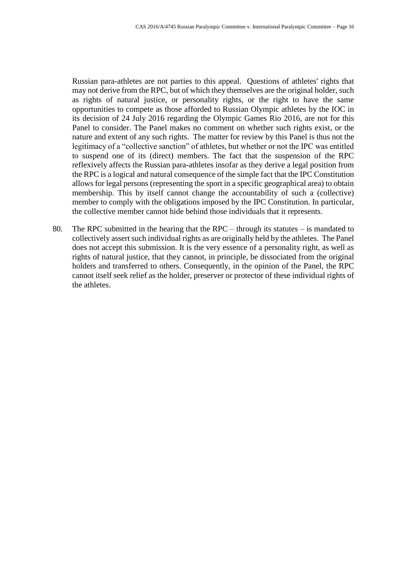Russian para-athletes are not parties to this appeal. Questions of athletes' rights that may not derive from the RPC, but of which they themselves are the original holder, such as rights of natural justice, or personality rights, or the right to have the same opportunities to compete as those afforded to Russian Olympic athletes by the IOC in its decision of 24 July 2016 regarding the Olympic Games Rio 2016, are not for this Panel to consider. The Panel makes no comment on whether such rights exist, or the nature and extent of any such rights. The matter for review by this Panel is thus not the legitimacy of a "collective sanction" of athletes, but whether or not the IPC was entitled to suspend one of its (direct) members. The fact that the suspension of the RPC reflexively affects the Russian para-athletes insofar as they derive a legal position from the RPC is a logical and natural consequence of the simple fact that the IPC Constitution allows for legal persons (representing the sport in a specific geographical area) to obtain membership. This by itself cannot change the accountability of such a (collective) member to comply with the obligations imposed by the IPC Constitution. In particular, the collective member cannot hide behind those individuals that it represents.

80. The RPC submitted in the hearing that the RPC – through its statutes – is mandated to collectively assert such individual rights as are originally held by the athletes. The Panel does not accept this submission. It is the very essence of a personality right, as well as rights of natural justice, that they cannot, in principle, be dissociated from the original holders and transferred to others. Consequently, in the opinion of the Panel, the RPC cannot itself seek relief as the holder, preserver or protector of these individual rights of the athletes.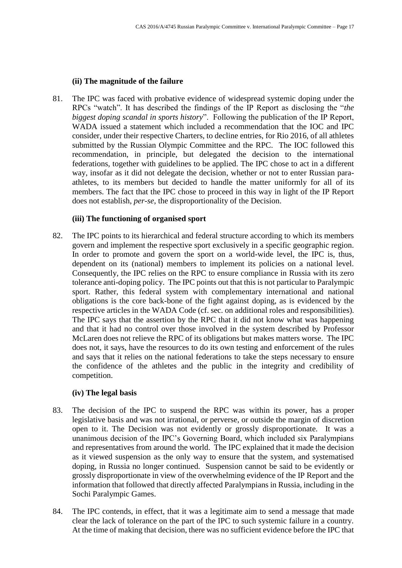### **(ii) The magnitude of the failure**

81. The IPC was faced with probative evidence of widespread systemic doping under the RPCs "watch". It has described the findings of the IP Report as disclosing the "*the biggest doping scandal in sports history*". Following the publication of the IP Report, WADA issued a statement which included a recommendation that the IOC and IPC consider, under their respective Charters, to decline entries, for Rio 2016, of all athletes submitted by the Russian Olympic Committee and the RPC. The IOC followed this recommendation, in principle, but delegated the decision to the international federations, together with guidelines to be applied. The IPC chose to act in a different way, insofar as it did not delegate the decision, whether or not to enter Russian paraathletes, to its members but decided to handle the matter uniformly for all of its members. The fact that the IPC chose to proceed in this way in light of the IP Report does not establish, *per-se*, the disproportionality of the Decision.

### **(iii) The functioning of organised sport**

82. The IPC points to its hierarchical and federal structure according to which its members govern and implement the respective sport exclusively in a specific geographic region. In order to promote and govern the sport on a world-wide level, the IPC is, thus, dependent on its (national) members to implement its policies on a national level. Consequently, the IPC relies on the RPC to ensure compliance in Russia with its zero tolerance anti-doping policy. The IPC points out that this is not particular to Paralympic sport. Rather, this federal system with complementary international and national obligations is the core back-bone of the fight against doping, as is evidenced by the respective articles in the WADA Code (cf. sec. on additional roles and responsibilities). The IPC says that the assertion by the RPC that it did not know what was happening and that it had no control over those involved in the system described by Professor McLaren does not relieve the RPC of its obligations but makes matters worse. The IPC does not, it says, have the resources to do its own testing and enforcement of the rules and says that it relies on the national federations to take the steps necessary to ensure the confidence of the athletes and the public in the integrity and credibility of competition.

### **(iv) The legal basis**

- 83. The decision of the IPC to suspend the RPC was within its power, has a proper legislative basis and was not irrational, or perverse, or outside the margin of discretion open to it. The Decision was not evidently or grossly disproportionate. It was a unanimous decision of the IPC's Governing Board, which included six Paralympians and representatives from around the world. The IPC explained that it made the decision as it viewed suspension as the only way to ensure that the system, and systematised doping, in Russia no longer continued. Suspension cannot be said to be evidently or grossly disproportionate in view of the overwhelming evidence of the IP Report and the information that followed that directly affected Paralympians in Russia, including in the Sochi Paralympic Games.
- 84. The IPC contends, in effect, that it was a legitimate aim to send a message that made clear the lack of tolerance on the part of the IPC to such systemic failure in a country. At the time of making that decision, there was no sufficient evidence before the IPC that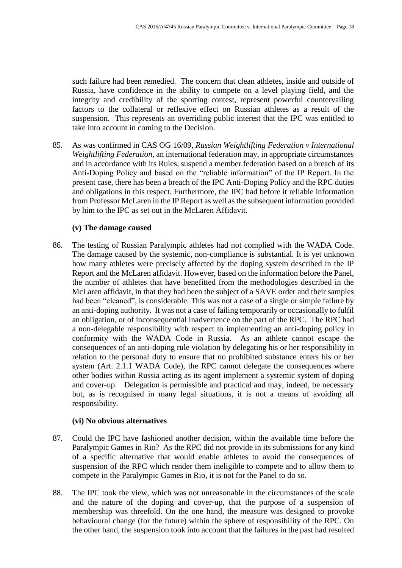such failure had been remedied. The concern that clean athletes, inside and outside of Russia, have confidence in the ability to compete on a level playing field, and the integrity and credibility of the sporting contest, represent powerful countervailing factors to the collateral or reflexive effect on Russian athletes as a result of the suspension. This represents an overriding public interest that the IPC was entitled to take into account in coming to the Decision.

85. As was confirmed in CAS OG 16/09, *Russian Weightlifting Federation v International Weightlifting Federation*, an international federation may, in appropriate circumstances and in accordance with its Rules, suspend a member federation based on a breach of its Anti-Doping Policy and based on the "reliable information" of the IP Report. In the present case, there has been a breach of the IPC Anti-Doping Policy and the RPC duties and obligations in this respect. Furthermore, the IPC had before it reliable information from Professor McLaren in the IP Report as well as the subsequent information provided by him to the IPC as set out in the McLaren Affidavit.

#### **(v) The damage caused**

86. The testing of Russian Paralympic athletes had not complied with the WADA Code. The damage caused by the systemic, non-compliance is substantial. It is yet unknown how many athletes were precisely affected by the doping system described in the IP Report and the McLaren affidavit. However, based on the information before the Panel, the number of athletes that have benefitted from the methodologies described in the McLaren affidavit, in that they had been the subject of a SAVE order and their samples had been "cleaned", is considerable. This was not a case of a single or simple failure by an anti-doping authority. It was not a case of failing temporarily or occasionally to fulfil an obligation, or of inconsequential inadvertence on the part of the RPC. The RPC had a non-delegable responsibility with respect to implementing an anti-doping policy in conformity with the WADA Code in Russia. As an athlete cannot escape the consequences of an anti-doping rule violation by delegating his or her responsibility in relation to the personal duty to ensure that no prohibited substance enters his or her system (Art. 2.1.1 WADA Code), the RPC cannot delegate the consequences where other bodies within Russia acting as its agent implement a systemic system of doping and cover-up. Delegation is permissible and practical and may, indeed, be necessary but, as is recognised in many legal situations, it is not a means of avoiding all responsibility.

#### **(vi) No obvious alternatives**

- 87. Could the IPC have fashioned another decision, within the available time before the Paralympic Games in Rio? As the RPC did not provide in its submissions for any kind of a specific alternative that would enable athletes to avoid the consequences of suspension of the RPC which render them ineligible to compete and to allow them to compete in the Paralympic Games in Rio, it is not for the Panel to do so.
- 88. The IPC took the view, which was not unreasonable in the circumstances of the scale and the nature of the doping and cover-up, that the purpose of a suspension of membership was threefold. On the one hand, the measure was designed to provoke behavioural change (for the future) within the sphere of responsibility of the RPC. On the other hand, the suspension took into account that the failures in the past had resulted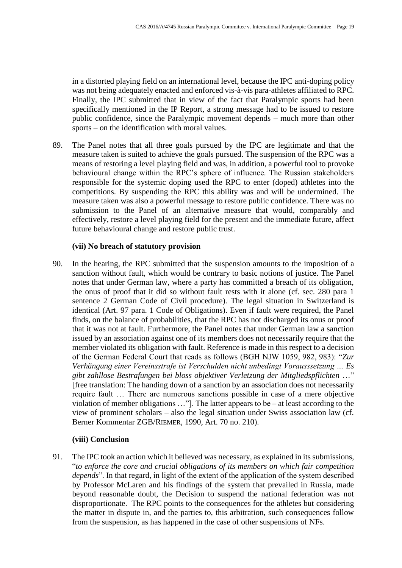in a distorted playing field on an international level, because the IPC anti-doping policy was not being adequately enacted and enforced vis-à-vis para-athletes affiliated to RPC. Finally, the IPC submitted that in view of the fact that Paralympic sports had been specifically mentioned in the IP Report, a strong message had to be issued to restore public confidence, since the Paralympic movement depends – much more than other sports – on the identification with moral values.

89. The Panel notes that all three goals pursued by the IPC are legitimate and that the measure taken is suited to achieve the goals pursued. The suspension of the RPC was a means of restoring a level playing field and was, in addition, a powerful tool to provoke behavioural change within the RPC's sphere of influence. The Russian stakeholders responsible for the systemic doping used the RPC to enter (doped) athletes into the competitions. By suspending the RPC this ability was and will be undermined. The measure taken was also a powerful message to restore public confidence. There was no submission to the Panel of an alternative measure that would, comparably and effectively, restore a level playing field for the present and the immediate future, affect future behavioural change and restore public trust.

#### **(vii) No breach of statutory provision**

90. In the hearing, the RPC submitted that the suspension amounts to the imposition of a sanction without fault, which would be contrary to basic notions of justice. The Panel notes that under German law, where a party has committed a breach of its obligation, the onus of proof that it did so without fault rests with it alone (cf. sec. 280 para 1 sentence 2 German Code of Civil procedure). The legal situation in Switzerland is identical (Art. 97 para. 1 Code of Obligations). Even if fault were required, the Panel finds, on the balance of probabilities, that the RPC has not discharged its onus or proof that it was not at fault. Furthermore, the Panel notes that under German law a sanction issued by an association against one of its members does not necessarily require that the member violated its obligation with fault. Reference is made in this respect to a decision of the German Federal Court that reads as follows (BGH NJW 1059, 982, 983): "*Zur Verhängung einer Vereinsstrafe ist Verschulden nicht unbedingt Vorausssetzung … Es gibt zahllose Bestrafungen bei bloss objektiver Verletzung der Mitgliedspflichten* …" [free translation: The handing down of a sanction by an association does not necessarily require fault … There are numerous sanctions possible in case of a mere objective violation of member obligations …"]. The latter appears to be – at least according to the view of prominent scholars – also the legal situation under Swiss association law (cf. Berner Kommentar ZGB/RIEMER, 1990, Art. 70 no. 210).

### **(viii) Conclusion**

91. The IPC took an action which it believed was necessary, as explained in its submissions, "*to enforce the core and crucial obligations of its members on which fair competition depends*". In that regard, in light of the extent of the application of the system described by Professor McLaren and his findings of the system that prevailed in Russia, made beyond reasonable doubt, the Decision to suspend the national federation was not disproportionate. The RPC points to the consequences for the athletes but considering the matter in dispute in, and the parties to, this arbitration, such consequences follow from the suspension, as has happened in the case of other suspensions of NFs.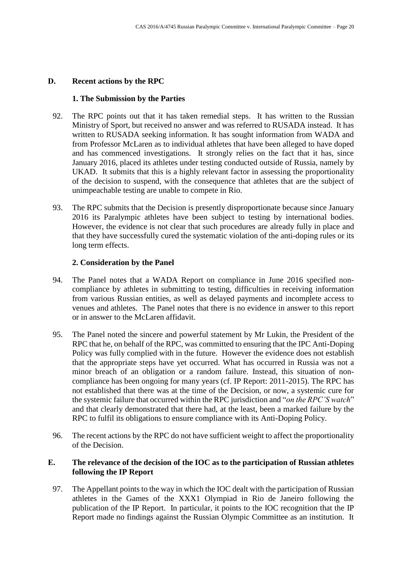### **D. Recent actions by the RPC**

### **1. The Submission by the Parties**

- 92. The RPC points out that it has taken remedial steps. It has written to the Russian Ministry of Sport, but received no answer and was referred to RUSADA instead. It has written to RUSADA seeking information. It has sought information from WADA and from Professor McLaren as to individual athletes that have been alleged to have doped and has commenced investigations. It strongly relies on the fact that it has, since January 2016, placed its athletes under testing conducted outside of Russia, namely by UKAD. It submits that this is a highly relevant factor in assessing the proportionality of the decision to suspend, with the consequence that athletes that are the subject of unimpeachable testing are unable to compete in Rio.
- 93. The RPC submits that the Decision is presently disproportionate because since January 2016 its Paralympic athletes have been subject to testing by international bodies. However, the evidence is not clear that such procedures are already fully in place and that they have successfully cured the systematic violation of the anti-doping rules or its long term effects.

### **2. Consideration by the Panel**

- 94. The Panel notes that a WADA Report on compliance in June 2016 specified noncompliance by athletes in submitting to testing, difficulties in receiving information from various Russian entities, as well as delayed payments and incomplete access to venues and athletes. The Panel notes that there is no evidence in answer to this report or in answer to the McLaren affidavit.
- 95. The Panel noted the sincere and powerful statement by Mr Lukin, the President of the RPC that he, on behalf of the RPC, was committed to ensuring that the IPC Anti-Doping Policy was fully complied with in the future. However the evidence does not establish that the appropriate steps have yet occurred. What has occurred in Russia was not a minor breach of an obligation or a random failure. Instead, this situation of noncompliance has been ongoing for many years (cf. IP Report: 2011-2015). The RPC has not established that there was at the time of the Decision, or now, a systemic cure for the systemic failure that occurred within the RPC jurisdiction and "*on the RPC'S watch*" and that clearly demonstrated that there had, at the least, been a marked failure by the RPC to fulfil its obligations to ensure compliance with its Anti-Doping Policy.
- 96. The recent actions by the RPC do not have sufficient weight to affect the proportionality of the Decision.

### **E. The relevance of the decision of the IOC as to the participation of Russian athletes following the IP Report**

97. The Appellant points to the way in which the IOC dealt with the participation of Russian athletes in the Games of the XXX1 Olympiad in Rio de Janeiro following the publication of the IP Report. In particular, it points to the IOC recognition that the IP Report made no findings against the Russian Olympic Committee as an institution. It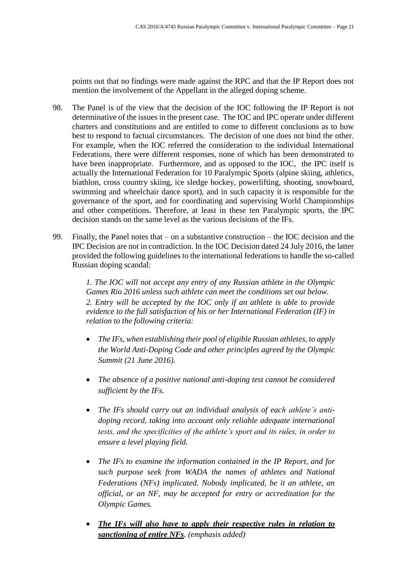points out that no findings were made against the RPC and that the IP Report does not mention the involvement of the Appellant in the alleged doping scheme.

- 98. The Panel is of the view that the decision of the IOC following the IP Report is not determinative of the issues in the present case. The IOC and IPC operate under different charters and constitutions and are entitled to come to different conclusions as to how best to respond to factual circumstances. The decision of one does not bind the other. For example, when the IOC referred the consideration to the individual International Federations, there were different responses, none of which has been demonstrated to have been inappropriate. Furthermore, and as opposed to the IOC, the IPC itself is actually the International Federation for 10 Paralympic Sports (alpine skiing, athletics, biathlon, cross country skiing, ice sledge hockey, powerlifting, shooting, snowboard, swimming and wheelchair dance sport), and in such capacity it is responsible for the governance of the sport, and for coordinating and supervising World Championships and other competitions. Therefore, at least in these ten Paralympic sports, the IPC decision stands on the same level as the various decisions of the IFs.
- 99. Finally, the Panel notes that on a substantive construction the IOC decision and the IPC Decision are not in contradiction. In the IOC Decision dated 24 July 2016, the latter provided the following guidelines to the international federations to handle the so-called Russian doping scandal:

*1. The IOC will not accept any entry of any Russian athlete in the Olympic Games Rio 2016 unless such athlete can meet the conditions set out below. 2. Entry will be accepted by the IOC only if an athlete is able to provide evidence to the full satisfaction of his or her International Federation (IF) in relation to the following criteria:*

- *The IFs, when establishing their pool of eligible Russian athletes, to apply the World Anti-Doping Code and other principles agreed by the Olympic Summit (21 June 2016).*
- *The absence of a positive national anti-doping test cannot be considered sufficient by the IFs.*
- *The IFs should carry out an individual analysis of each athlete's antidoping record, taking into account only reliable adequate international tests, and the specificities of the athlete's sport and its rules, in order to ensure a level playing field.*
- *The IFs to examine the information contained in the IP Report, and for such purpose seek from WADA the names of athletes and National Federations (NFs) implicated. Nobody implicated, be it an athlete, an official, or an NF, may be accepted for entry or accreditation for the Olympic Games.*
- *The IFs will also have to apply their respective rules in relation to sanctioning of entire NFs. (emphasis added)*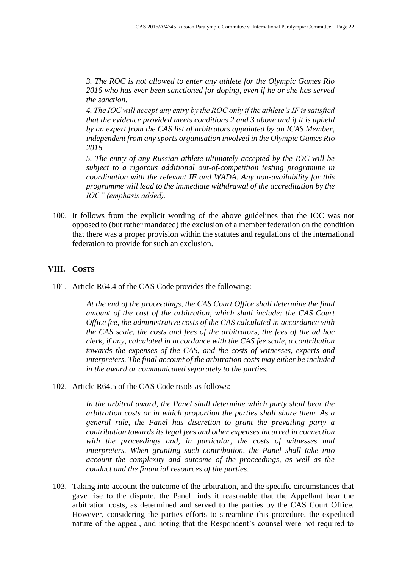*3. The ROC is not allowed to enter any athlete for the Olympic Games Rio 2016 who has ever been sanctioned for doping, even if he or she has served the sanction.*

*4. The IOC will accept any entry by the ROC only if the athlete's IF is satisfied that the evidence provided meets conditions 2 and 3 above and if it is upheld by an expert from the CAS list of arbitrators appointed by an ICAS Member, independent from any sports organisation involved in the Olympic Games Rio 2016.*

*5. The entry of any Russian athlete ultimately accepted by the IOC will be subject to a rigorous additional out-of-competition testing programme in coordination with the relevant IF and WADA. Any non-availability for this programme will lead to the immediate withdrawal of the accreditation by the IOC" (emphasis added).*

100. It follows from the explicit wording of the above guidelines that the IOC was not opposed to (but rather mandated) the exclusion of a member federation on the condition that there was a proper provision within the statutes and regulations of the international federation to provide for such an exclusion.

## **VIII. COSTS**

101. Article R64.4 of the CAS Code provides the following:

*At the end of the proceedings, the CAS Court Office shall determine the final amount of the cost of the arbitration, which shall include: the CAS Court Office fee, the administrative costs of the CAS calculated in accordance with the CAS scale, the costs and fees of the arbitrators, the fees of the ad hoc clerk, if any, calculated in accordance with the CAS fee scale, a contribution towards the expenses of the CAS, and the costs of witnesses, experts and interpreters. The final account of the arbitration costs may either be included in the award or communicated separately to the parties.*

102. Article R64.5 of the CAS Code reads as follows:

*In the arbitral award, the Panel shall determine which party shall bear the arbitration costs or in which proportion the parties shall share them. As a general rule, the Panel has discretion to grant the prevailing party a contribution towards its legal fees and other expenses incurred in connection with the proceedings and, in particular, the costs of witnesses and interpreters. When granting such contribution, the Panel shall take into account the complexity and outcome of the proceedings, as well as the conduct and the financial resources of the parties*.

103. Taking into account the outcome of the arbitration, and the specific circumstances that gave rise to the dispute, the Panel finds it reasonable that the Appellant bear the arbitration costs, as determined and served to the parties by the CAS Court Office. However, considering the parties efforts to streamline this procedure, the expedited nature of the appeal, and noting that the Respondent's counsel were not required to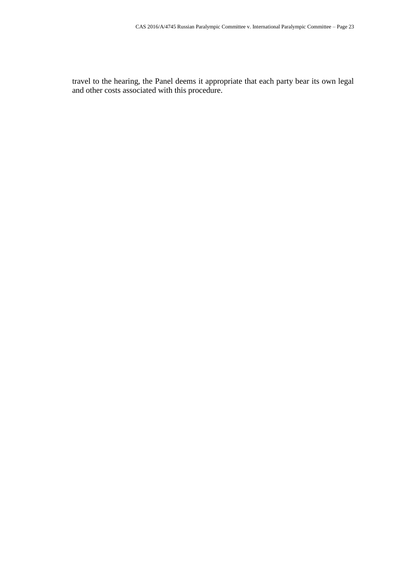travel to the hearing, the Panel deems it appropriate that each party bear its own legal and other costs associated with this procedure.